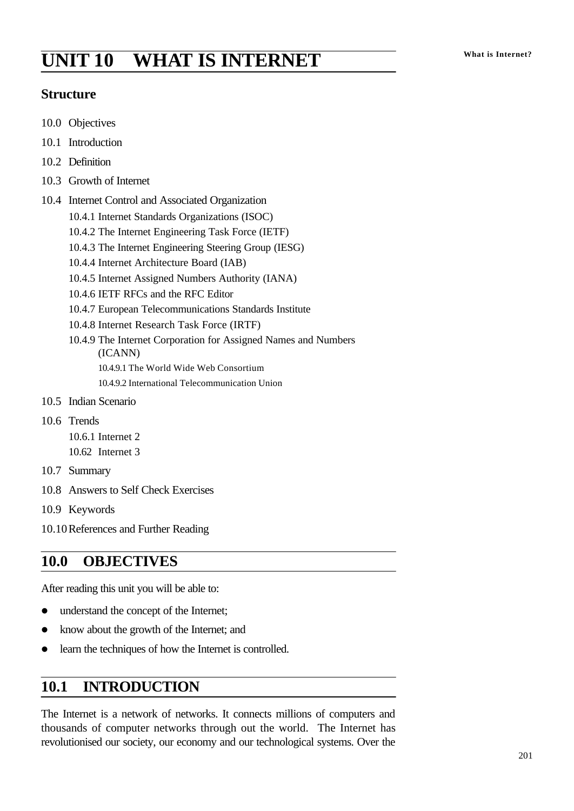# **What is Internet? UNIT 10 WHAT IS INTERNET**

### **Structure**

- 10.0 Objectives
- 10.1 Introduction
- 10.2 Definition
- 10.3 Growth of Internet
- 10.4 Internet Control and Associated Organization
	- 10.4.1 Internet Standards Organizations (ISOC)
	- 10.4.2 The Internet Engineering Task Force (IETF)
	- 10.4.3 The Internet Engineering Steering Group (IESG)
	- 10.4.4 Internet Architecture Board (IAB)
	- 10.4.5 Internet Assigned Numbers Authority (IANA)
	- 10.4.6 IETF RFCs and the RFC Editor
	- 10.4.7 European Telecommunications Standards Institute
	- 10.4.8 Internet Research Task Force (IRTF)
	- 10.4.9 The Internet Corporation for Assigned Names and Numbers (ICANN) 10.4.9.1 The World Wide Web Consortium
		- 10.4.9.2 International Telecommunication Union
- 10.5 Indian Scenario
- 10.6 Trends
	- 10.6.1 Internet 2 10.62 Internet 3
- 10.7 Summary
- 10.8 Answers to Self Check Exercises
- 10.9 Keywords
- 10.10References and Further Reading

### **10.0 OBJECTIVES**

After reading this unit you will be able to:

- understand the concept of the Internet;
- know about the growth of the Internet; and
- $\bullet$  learn the techniques of how the Internet is controlled.

### **10.1 INTRODUCTION**

The Internet is a network of networks. It connects millions of computers and thousands of computer networks through out the world. The Internet has revolutionised our society, our economy and our technological systems. Over the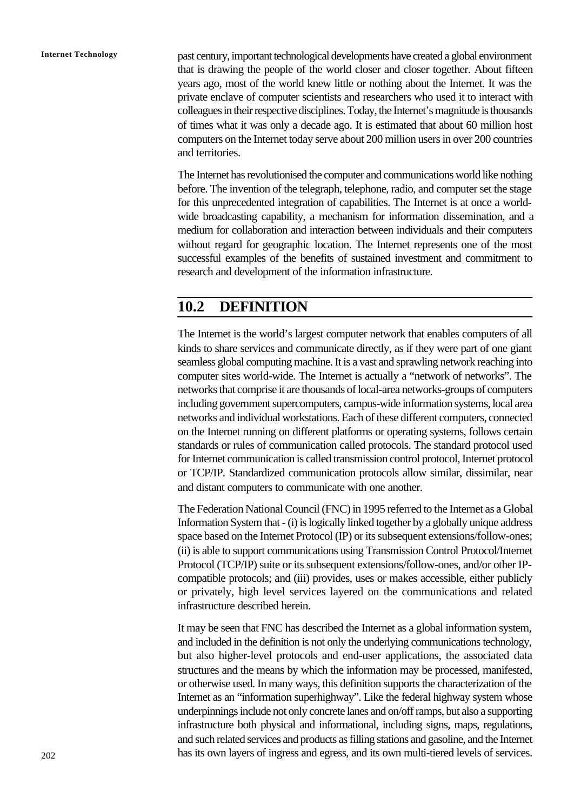**Internet Technology** past century, important technological developments have created a global environment that is drawing the people of the world closer and closer together. About fifteen years ago, most of the world knew little or nothing about the Internet. It was the private enclave of computer scientists and researchers who used it to interact with colleagues in their respective disciplines. Today, the Internet's magnitude is thousands of times what it was only a decade ago. It is estimated that about 60 million host computers on the Internet today serve about 200 million users in over 200 countries and territories.

> The Internet has revolutionised the computer and communications world like nothing before. The invention of the telegraph, telephone, radio, and computer set the stage for this unprecedented integration of capabilities. The Internet is at once a worldwide broadcasting capability, a mechanism for information dissemination, and a medium for collaboration and interaction between individuals and their computers without regard for geographic location. The Internet represents one of the most successful examples of the benefits of sustained investment and commitment to research and development of the information infrastructure.

### **10.2 DEFINITION**

The Internet is the world's largest computer network that enables computers of all kinds to share services and communicate directly, as if they were part of one giant seamless global computing machine. It is a vast and sprawling network reaching into computer sites world-wide. The Internet is actually a "network of networks". The networks that comprise it are thousands of local-area networks-groups of computers including government supercomputers, campus-wide information systems, local area networks and individual workstations. Each of these different computers, connected on the Internet running on different platforms or operating systems, follows certain standards or rules of communication called protocols. The standard protocol used for Internet communication is called transmission control protocol, Internet protocol or TCP/IP. Standardized communication protocols allow similar, dissimilar, near and distant computers to communicate with one another.

The Federation National Council (FNC) in 1995 referred to the Internet as a Global Information System that - (i) is logically linked together by a globally unique address space based on the Internet Protocol (IP) or its subsequent extensions/follow-ones; (ii) is able to support communications using Transmission Control Protocol/Internet Protocol (TCP/IP) suite or its subsequent extensions/follow-ones, and/or other IPcompatible protocols; and (iii) provides, uses or makes accessible, either publicly or privately, high level services layered on the communications and related infrastructure described herein.

It may be seen that FNC has described the Internet as a global information system, and included in the definition is not only the underlying communications technology, but also higher-level protocols and end-user applications, the associated data structures and the means by which the information may be processed, manifested, or otherwise used. In many ways, this definition supports the characterization of the Internet as an "information superhighway". Like the federal highway system whose underpinnings include not only concrete lanes and on/off ramps, but also a supporting infrastructure both physical and informational, including signs, maps, regulations, and such related services and products as filling stations and gasoline, and the Internet has its own layers of ingress and egress, and its own multi-tiered levels of services.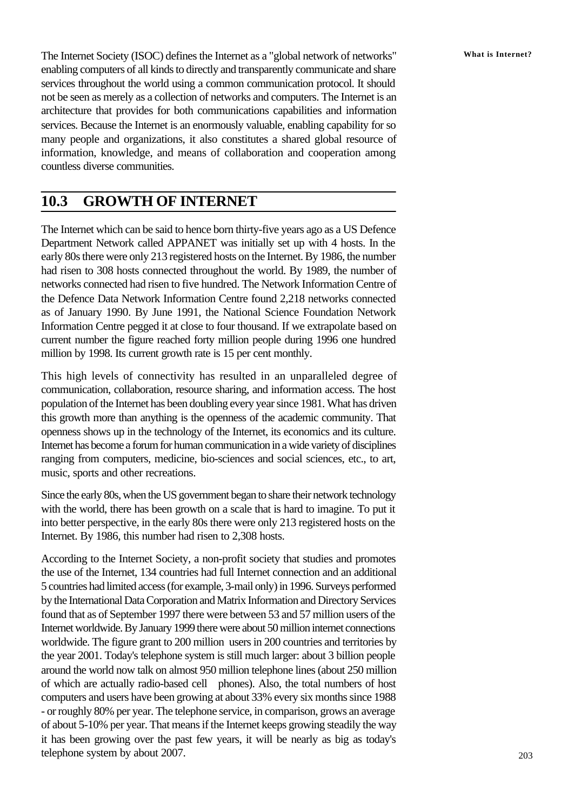The Internet Society (ISOC) defines the Internet as a "global network of networks" **What is Internet?** enabling computers of all kinds to directly and transparently communicate and share services throughout the world using a common communication protocol. It should not be seen as merely as a collection of networks and computers. The Internet is an architecture that provides for both communications capabilities and information services. Because the Internet is an enormously valuable, enabling capability for so many people and organizations, it also constitutes a shared global resource of information, knowledge, and means of collaboration and cooperation among countless diverse communities.

### **10.3 GROWTH OF INTERNET**

The Internet which can be said to hence born thirty-five years ago as a US Defence Department Network called APPANET was initially set up with 4 hosts. In the early 80s there were only 213 registered hosts on the Internet. By 1986, the number had risen to 308 hosts connected throughout the world. By 1989, the number of networks connected had risen to five hundred. The Network Information Centre of the Defence Data Network Information Centre found 2,218 networks connected as of January 1990. By June 1991, the National Science Foundation Network Information Centre pegged it at close to four thousand. If we extrapolate based on current number the figure reached forty million people during 1996 one hundred million by 1998. Its current growth rate is 15 per cent monthly.

This high levels of connectivity has resulted in an unparalleled degree of communication, collaboration, resource sharing, and information access. The host population of the Internet has been doubling every year since 1981. What has driven this growth more than anything is the openness of the academic community. That openness shows up in the technology of the Internet, its economics and its culture. Internet has become a forum for human communication in a wide variety of disciplines ranging from computers, medicine, bio-sciences and social sciences, etc., to art, music, sports and other recreations.

Since the early 80s, when the US government began to share their network technology with the world, there has been growth on a scale that is hard to imagine. To put it into better perspective, in the early 80s there were only 213 registered hosts on the Internet. By 1986, this number had risen to 2,308 hosts.

According to the Internet Society, a non-profit society that studies and promotes the use of the Internet, 134 countries had full Internet connection and an additional 5 countries had limited access (for example, 3-mail only) in 1996. Surveys performed by the International Data Corporation and Matrix Information and Directory Services found that as of September 1997 there were between 53 and 57 million users of the Internet worldwide. By January 1999 there were about 50 million internet connections worldwide. The figure grant to 200 million users in 200 countries and territories by the year 2001. Today's telephone system is still much larger: about 3 billion people around the world now talk on almost 950 million telephone lines (about 250 million of which are actually radio-based cell phones). Also, the total numbers of host computers and users have been growing at about 33% every six months since 1988 - or roughly 80% per year. The telephone service, in comparison, grows an average of about 5-10% per year. That means if the Internet keeps growing steadily the way it has been growing over the past few years, it will be nearly as big as today's telephone system by about 2007.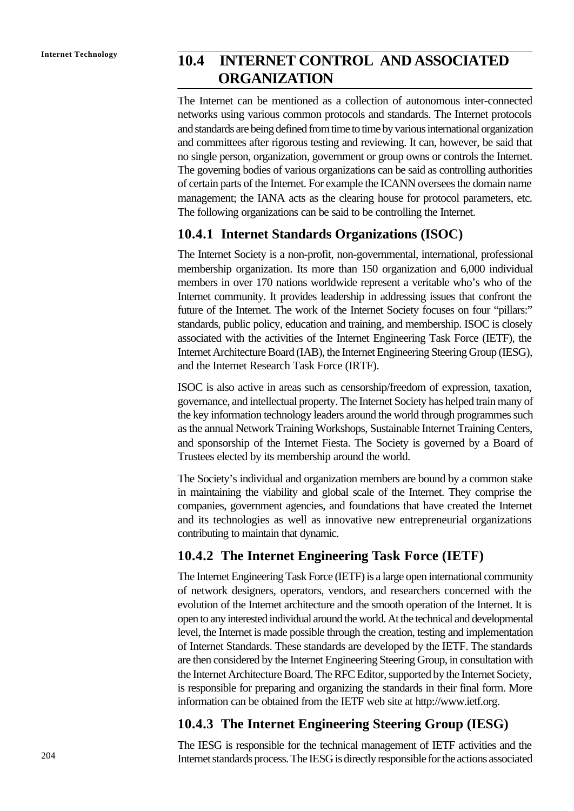# **Internet Technology 10.4 INTERNET CONTROL AND ASSOCIATED ORGANIZATION**

The Internet can be mentioned as a collection of autonomous inter-connected networks using various common protocols and standards. The Internet protocols and standards are being defined from time to time by various international organization and committees after rigorous testing and reviewing. It can, however, be said that no single person, organization, government or group owns or controls the Internet. The governing bodies of various organizations can be said as controlling authorities of certain parts of the Internet. For example the ICANN oversees the domain name management; the IANA acts as the clearing house for protocol parameters, etc. The following organizations can be said to be controlling the Internet.

### **10.4.1 Internet Standards Organizations (ISOC)**

The Internet Society is a non-profit, non-governmental, international, professional membership organization. Its more than 150 organization and 6,000 individual members in over 170 nations worldwide represent a veritable who's who of the Internet community. It provides leadership in addressing issues that confront the future of the Internet. The work of the Internet Society focuses on four "pillars:" standards, public policy, education and training, and membership. ISOC is closely associated with the activities of the Internet Engineering Task Force (IETF), the Internet Architecture Board (IAB), the Internet Engineering Steering Group (IESG), and the Internet Research Task Force (IRTF).

ISOC is also active in areas such as censorship/freedom of expression, taxation, governance, and intellectual property. The Internet Society has helped train many of the key information technology leaders around the world through programmes such as the annual Network Training Workshops, Sustainable Internet Training Centers, and sponsorship of the Internet Fiesta. The Society is governed by a Board of Trustees elected by its membership around the world.

The Society's individual and organization members are bound by a common stake in maintaining the viability and global scale of the Internet. They comprise the companies, government agencies, and foundations that have created the Internet and its technologies as well as innovative new entrepreneurial organizations contributing to maintain that dynamic.

### **10.4.2 The Internet Engineering Task Force (IETF)**

The Internet Engineering Task Force (IETF) is a large open international community of network designers, operators, vendors, and researchers concerned with the evolution of the Internet architecture and the smooth operation of the Internet. It is open to any interested individual around the world. At the technical and developmental level, the Internet is made possible through the creation, testing and implementation of Internet Standards. These standards are developed by the IETF. The standards are then considered by the Internet Engineering Steering Group, in consultation with the Internet Architecture Board. The RFC Editor, supported by the Internet Society, is responsible for preparing and organizing the standards in their final form. More information can be obtained from the IETF web site at http://www.ietf.org.

### **10.4.3 The Internet Engineering Steering Group (IESG)**

The IESG is responsible for the technical management of IETF activities and the Internet standards process. The IESG is directly responsible for the actions associated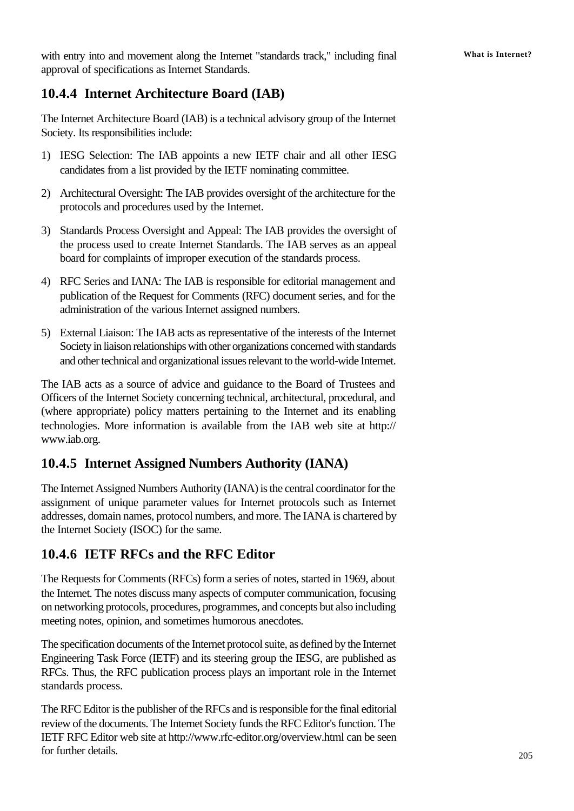with entry into and movement along the Internet "standards track," including final **What is Internet?** approval of specifications as Internet Standards.

### **10.4.4 Internet Architecture Board (IAB)**

The Internet Architecture Board (IAB) is a technical advisory group of the Internet Society. Its responsibilities include:

- 1) IESG Selection: The IAB appoints a new IETF chair and all other IESG candidates from a list provided by the IETF nominating committee.
- 2) Architectural Oversight: The IAB provides oversight of the architecture for the protocols and procedures used by the Internet.
- 3) Standards Process Oversight and Appeal: The IAB provides the oversight of the process used to create Internet Standards. The IAB serves as an appeal board for complaints of improper execution of the standards process.
- 4) RFC Series and IANA: The IAB is responsible for editorial management and publication of the Request for Comments (RFC) document series, and for the administration of the various Internet assigned numbers.
- 5) External Liaison: The IAB acts as representative of the interests of the Internet Society in liaison relationships with other organizations concerned with standards and other technical and organizational issues relevant to the world-wide Internet.

The IAB acts as a source of advice and guidance to the Board of Trustees and Officers of the Internet Society concerning technical, architectural, procedural, and (where appropriate) policy matters pertaining to the Internet and its enabling technologies. More information is available from the IAB web site at http:// www.iab.org.

### **10.4.5 Internet Assigned Numbers Authority (IANA)**

The Internet Assigned Numbers Authority (IANA) is the central coordinator for the assignment of unique parameter values for Internet protocols such as Internet addresses, domain names, protocol numbers, and more. The IANA is chartered by the Internet Society (ISOC) for the same.

### **10.4.6 IETF RFCs and the RFC Editor**

The Requests for Comments (RFCs) form a series of notes, started in 1969, about the Internet. The notes discuss many aspects of computer communication, focusing on networking protocols, procedures, programmes, and concepts but also including meeting notes, opinion, and sometimes humorous anecdotes.

The specification documents of the Internet protocol suite, as defined by the Internet Engineering Task Force (IETF) and its steering group the IESG, are published as RFCs. Thus, the RFC publication process plays an important role in the Internet standards process.

The RFC Editor is the publisher of the RFCs and is responsible for the final editorial review of the documents. The Internet Society funds the RFC Editor's function. The IETF RFC Editor web site at http://www.rfc-editor.org/overview.html can be seen for further details.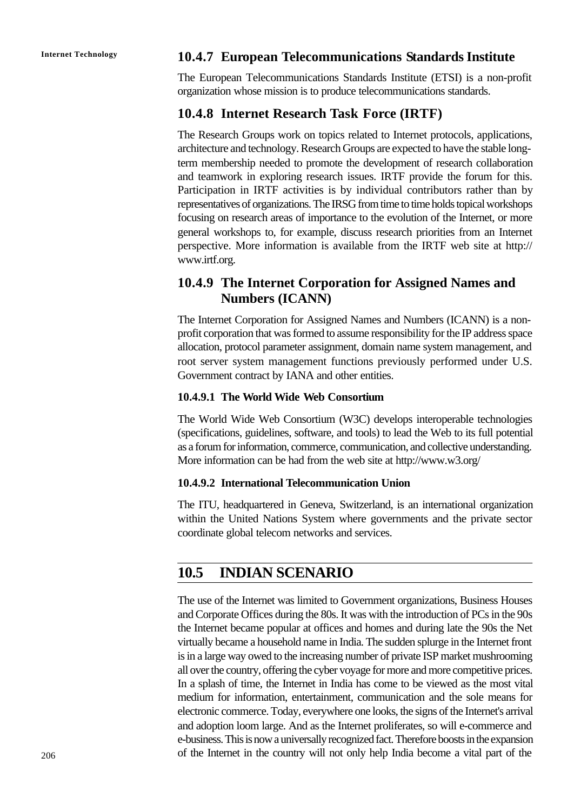### **Internet Technology 10.4.7 European Telecommunications Standards Institute**

The European Telecommunications Standards Institute (ETSI) is a non-profit organization whose mission is to produce telecommunications standards.

#### **10.4.8 Internet Research Task Force (IRTF)**

The Research Groups work on topics related to Internet protocols, applications, architecture and technology. Research Groups are expected to have the stable longterm membership needed to promote the development of research collaboration and teamwork in exploring research issues. IRTF provide the forum for this. Participation in IRTF activities is by individual contributors rather than by representatives of organizations. The IRSG from time to time holds topical workshops focusing on research areas of importance to the evolution of the Internet, or more general workshops to, for example, discuss research priorities from an Internet perspective. More information is available from the IRTF web site at http:// www.irtf.org.

### **10.4.9 The Internet Corporation for Assigned Names and Numbers (ICANN)**

The Internet Corporation for Assigned Names and Numbers (ICANN) is a nonprofit corporation that was formed to assume responsibility for the IP address space allocation, protocol parameter assignment, domain name system management, and root server system management functions previously performed under U.S. Government contract by IANA and other entities.

#### **10.4.9.1 The World Wide Web Consortium**

The World Wide Web Consortium (W3C) develops interoperable technologies (specifications, guidelines, software, and tools) to lead the Web to its full potential as a forum for information, commerce, communication, and collective understanding. More information can be had from the web site at http://www.w3.org/

#### **10.4.9.2 International Telecommunication Union**

The ITU, headquartered in Geneva, Switzerland, is an international organization within the United Nations System where governments and the private sector coordinate global telecom networks and services.

### **10.5 INDIAN SCENARIO**

The use of the Internet was limited to Government organizations, Business Houses and Corporate Offices during the 80s. It was with the introduction of PCs in the 90s the Internet became popular at offices and homes and during late the 90s the Net virtually became a household name in India. The sudden splurge in the Internet front is in a large way owed to the increasing number of private ISP market mushrooming all over the country, offering the cyber voyage for more and more competitive prices. In a splash of time, the Internet in India has come to be viewed as the most vital medium for information, entertainment, communication and the sole means for electronic commerce. Today, everywhere one looks, the signs of the Internet's arrival and adoption loom large. And as the Internet proliferates, so will e-commerce and e-business. This is now a universally recognized fact. Therefore boosts in the expansion of the Internet in the country will not only help India become a vital part of the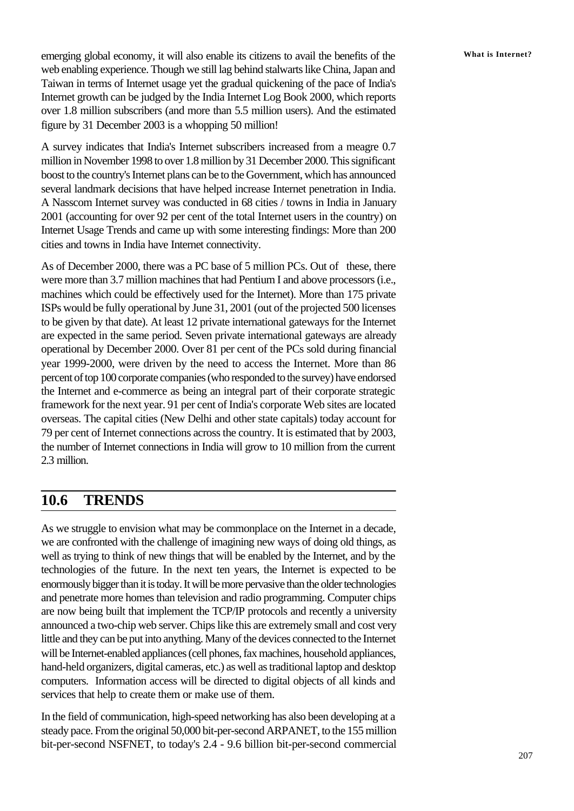emerging global economy, it will also enable its citizens to avail the benefits of the **What** is Internet? web enabling experience. Though we still lag behind stalwarts like China, Japan and Taiwan in terms of Internet usage yet the gradual quickening of the pace of India's Internet growth can be judged by the India Internet Log Book 2000, which reports over 1.8 million subscribers (and more than 5.5 million users). And the estimated figure by 31 December 2003 is a whopping 50 million!

A survey indicates that India's Internet subscribers increased from a meagre 0.7 million in November 1998 to over 1.8 million by 31 December 2000. This significant boost to the country's Internet plans can be to the Government, which has announced several landmark decisions that have helped increase Internet penetration in India. A Nasscom Internet survey was conducted in 68 cities / towns in India in January 2001 (accounting for over 92 per cent of the total Internet users in the country) on Internet Usage Trends and came up with some interesting findings: More than 200 cities and towns in India have Internet connectivity.

As of December 2000, there was a PC base of 5 million PCs. Out of these, there were more than 3.7 million machines that had Pentium I and above processors (i.e., machines which could be effectively used for the Internet). More than 175 private ISPs would be fully operational by June 31, 2001 (out of the projected 500 licenses to be given by that date). At least 12 private international gateways for the Internet are expected in the same period. Seven private international gateways are already operational by December 2000. Over 81 per cent of the PCs sold during financial year 1999-2000, were driven by the need to access the Internet. More than 86 percent of top 100 corporate companies (who responded to the survey) have endorsed the Internet and e-commerce as being an integral part of their corporate strategic framework for the next year. 91 per cent of India's corporate Web sites are located overseas. The capital cities (New Delhi and other state capitals) today account for 79 per cent of Internet connections across the country. It is estimated that by 2003, the number of Internet connections in India will grow to 10 million from the current 2.3 million.

### **10.6 TRENDS**

As we struggle to envision what may be commonplace on the Internet in a decade, we are confronted with the challenge of imagining new ways of doing old things, as well as trying to think of new things that will be enabled by the Internet, and by the technologies of the future. In the next ten years, the Internet is expected to be enormously bigger than it is today. It will be more pervasive than the older technologies and penetrate more homes than television and radio programming. Computer chips are now being built that implement the TCP/IP protocols and recently a university announced a two-chip web server. Chips like this are extremely small and cost very little and they can be put into anything. Many of the devices connected to the Internet will be Internet-enabled appliances (cell phones, fax machines, household appliances, hand-held organizers, digital cameras, etc.) as well as traditional laptop and desktop computers. Information access will be directed to digital objects of all kinds and services that help to create them or make use of them.

In the field of communication, high-speed networking has also been developing at a steady pace. From the original 50,000 bit-per-second ARPANET, to the 155 million bit-per-second NSFNET, to today's 2.4 - 9.6 billion bit-per-second commercial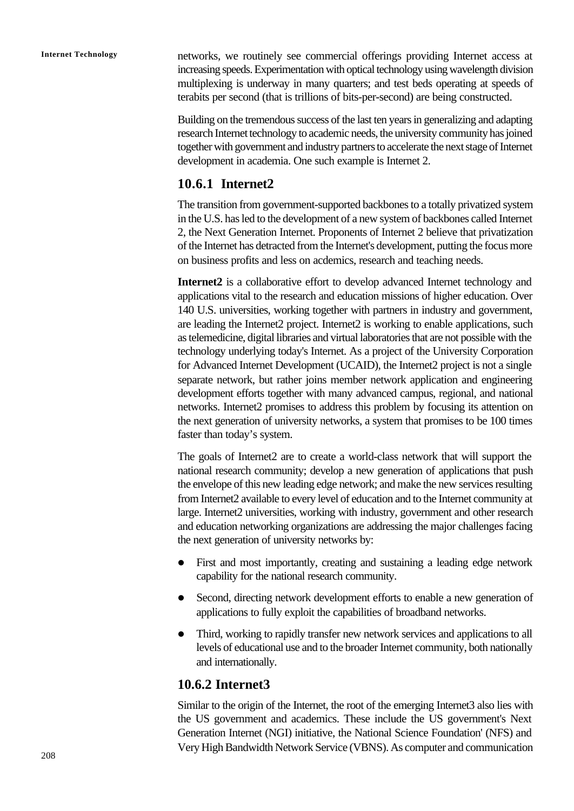**Internet Technology** networks, we routinely see commercial offerings providing Internet access at increasing speeds. Experimentation with optical technology using wavelength division multiplexing is underway in many quarters; and test beds operating at speeds of terabits per second (that is trillions of bits-per-second) are being constructed.

> Building on the tremendous success of the last ten years in generalizing and adapting research Internet technology to academic needs, the university community has joined together with government and industry partners to accelerate the next stage of Internet development in academia. One such example is Internet 2.

### **10.6.1 Internet2**

The transition from government-supported backbones to a totally privatized system in the U.S. has led to the development of a new system of backbones called Internet 2, the Next Generation Internet. Proponents of Internet 2 believe that privatization of the Internet has detracted from the Internet's development, putting the focus more on business profits and less on acdemics, research and teaching needs.

**Internet2** is a collaborative effort to develop advanced Internet technology and applications vital to the research and education missions of higher education. Over 140 U.S. universities, working together with partners in industry and government, are leading the Internet2 project. Internet2 is working to enable applications, such as telemedicine, digital libraries and virtual laboratories that are not possible with the technology underlying today's Internet. As a project of the University Corporation for Advanced Internet Development (UCAID), the Internet2 project is not a single separate network, but rather joins member network application and engineering development efforts together with many advanced campus, regional, and national networks. Internet2 promises to address this problem by focusing its attention on the next generation of university networks, a system that promises to be 100 times faster than today's system.

The goals of Internet2 are to create a world-class network that will support the national research community; develop a new generation of applications that push the envelope of this new leading edge network; and make the new services resulting from Internet2 available to every level of education and to the Internet community at large. Internet2 universities, working with industry, government and other research and education networking organizations are addressing the major challenges facing the next generation of university networks by:

- First and most importantly, creating and sustaining a leading edge network capability for the national research community.
- Second, directing network development efforts to enable a new generation of applications to fully exploit the capabilities of broadband networks.
- Third, working to rapidly transfer new network services and applications to all levels of educational use and to the broader Internet community, both nationally and internationally.

### **10.6.2 Internet3**

Similar to the origin of the Internet, the root of the emerging Internet3 also lies with the US government and academics. These include the US government's Next Generation Internet (NGI) initiative, the National Science Foundation' (NFS) and Very High Bandwidth Network Service (VBNS). As computer and communication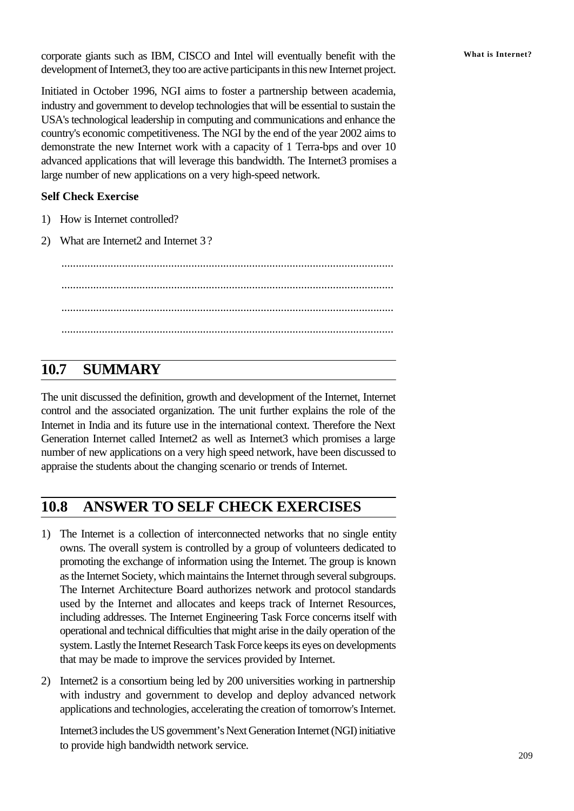corporate giants such as IBM, CISCO and Intel will eventually benefit with the What is Internet? development of Internet3, they too are active participants in this new Internet project.

Initiated in October 1996, NGI aims to foster a partnership between academia, industry and government to develop technologies that will be essential to sustain the USA's technological leadership in computing and communications and enhance the country's economic competitiveness. The NGI by the end of the year 2002 aims to demonstrate the new Internet work with a capacity of 1 Terra-bps and over 10 advanced applications that will leverage this bandwidth. The Internet3 promises a large number of new applications on a very high-speed network.

#### **Self Check Exercise**

- 1) How is Internet controlled?
- 2) What are Internet 2 and Internet 3?

................................................................................................................... ................................................................................................................... ................................................................................................................... ...................................................................................................................

### **10.7 SUMMARY**

The unit discussed the definition, growth and development of the Internet, Internet control and the associated organization. The unit further explains the role of the Internet in India and its future use in the international context. Therefore the Next Generation Internet called Internet2 as well as Internet3 which promises a large number of new applications on a very high speed network, have been discussed to appraise the students about the changing scenario or trends of Internet.

### **10.8 ANSWER TO SELF CHECK EXERCISES**

- 1) The Internet is a collection of interconnected networks that no single entity owns. The overall system is controlled by a group of volunteers dedicated to promoting the exchange of information using the Internet. The group is known as the Internet Society, which maintains the Internet through several subgroups. The Internet Architecture Board authorizes network and protocol standards used by the Internet and allocates and keeps track of Internet Resources, including addresses. The Internet Engineering Task Force concerns itself with operational and technical difficulties that might arise in the daily operation of the system. Lastly the Internet Research Task Force keeps its eyes on developments that may be made to improve the services provided by Internet.
- 2) Internet2 is a consortium being led by 200 universities working in partnership with industry and government to develop and deploy advanced network applications and technologies, accelerating the creation of tomorrow's Internet.

Internet3 includes the US government's Next Generation Internet (NGI) initiative to provide high bandwidth network service.